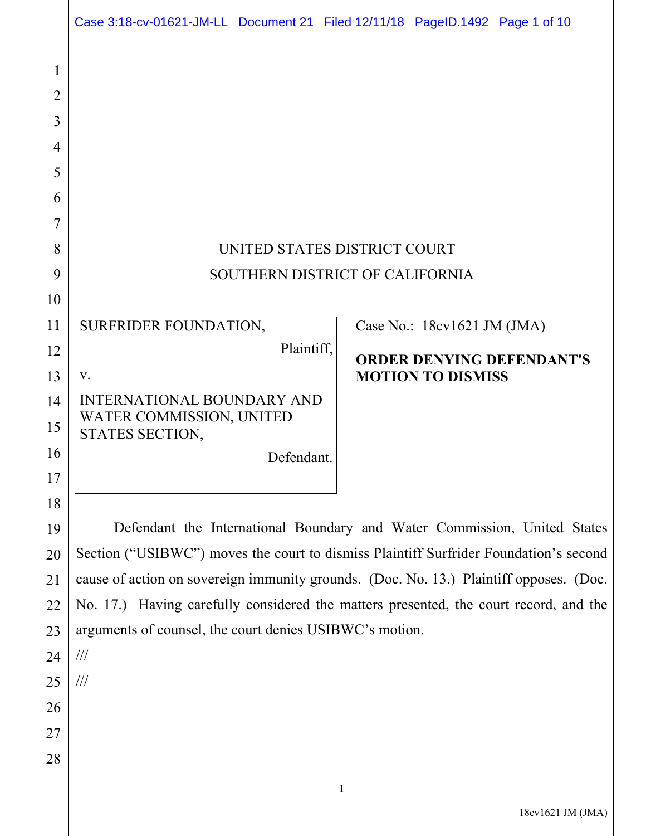|                | Case 3:18-cv-01621-JM-LL Document 21 Filed 12/11/18 PageID.1492 Page 1 of 10           |                                  |
|----------------|----------------------------------------------------------------------------------------|----------------------------------|
| 1              |                                                                                        |                                  |
| $\overline{2}$ |                                                                                        |                                  |
| 3              |                                                                                        |                                  |
| 4              |                                                                                        |                                  |
| 5              |                                                                                        |                                  |
| 6              |                                                                                        |                                  |
| 7              |                                                                                        |                                  |
| 8              | UNITED STATES DISTRICT COURT                                                           |                                  |
| 9              | SOUTHERN DISTRICT OF CALIFORNIA                                                        |                                  |
| 10             |                                                                                        |                                  |
| 11             | SURFRIDER FOUNDATION,                                                                  | Case No.: 18cv1621 JM (JMA)      |
| 12             | Plaintiff,                                                                             | <b>ORDER DENYING DEFENDANT'S</b> |
| 13             | V.                                                                                     | <b>MOTION TO DISMISS</b>         |
| 14             | <b>INTERNATIONAL BOUNDARY AND</b>                                                      |                                  |
| 15             | WATER COMMISSION, UNITED<br>STATES SECTION,                                            |                                  |
| 16             | Defendant.                                                                             |                                  |
| 17             |                                                                                        |                                  |
| 18             |                                                                                        |                                  |
| 19             | Defendant the International Boundary and Water Commission, United States               |                                  |
| 20             | Section ("USIBWC") moves the court to dismiss Plaintiff Surfrider Foundation's second  |                                  |
| 21             | cause of action on sovereign immunity grounds. (Doc. No. 13.) Plaintiff opposes. (Doc. |                                  |
| 22             | No. 17.) Having carefully considered the matters presented, the court record, and the  |                                  |
| 23             | arguments of counsel, the court denies USIBWC's motion.                                |                                  |
| 24             | $\frac{1}{1}$                                                                          |                                  |
| 25             | ///                                                                                    |                                  |
| 26             |                                                                                        |                                  |
| 27             |                                                                                        |                                  |
| 28             |                                                                                        |                                  |
|                |                                                                                        | $\mathbf{1}$                     |

 $\parallel$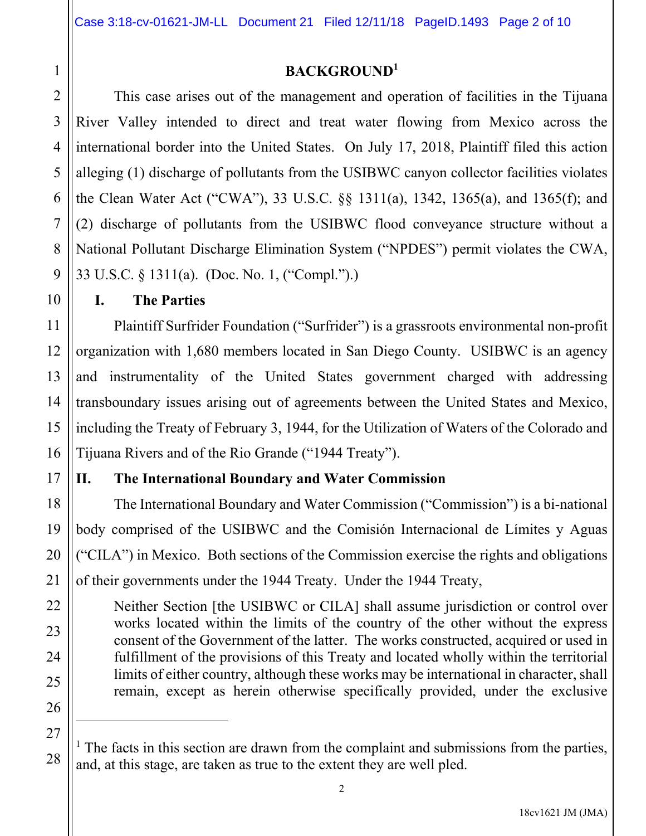## **BACKGROUND<sup>1</sup>**

 This case arises out of the management and operation of facilities in the Tijuana River Valley intended to direct and treat water flowing from Mexico across the international border into the United States. On July 17, 2018, Plaintiff filed this action alleging (1) discharge of pollutants from the USIBWC canyon collector facilities violates the Clean Water Act ("CWA"), 33 U.S.C. §§ 1311(a), 1342, 1365(a), and 1365(f); and (2) discharge of pollutants from the USIBWC flood conveyance structure without a National Pollutant Discharge Elimination System ("NPDES") permit violates the CWA, 33 U.S.C. § 1311(a). (Doc. No. 1, ("Compl.").)

**I. The Parties** 

 Plaintiff Surfrider Foundation ("Surfrider") is a grassroots environmental non-profit organization with 1,680 members located in San Diego County. USIBWC is an agency and instrumentality of the United States government charged with addressing transboundary issues arising out of agreements between the United States and Mexico, including the Treaty of February 3, 1944, for the Utilization of Waters of the Colorado and Tijuana Rivers and of the Rio Grande ("1944 Treaty").

## **II. The International Boundary and Water Commission**

 The International Boundary and Water Commission ("Commission") is a bi-national body comprised of the USIBWC and the Comisión Internacional de Límites y Aguas ("CILA") in Mexico. Both sections of the Commission exercise the rights and obligations of their governments under the 1944 Treaty. Under the 1944 Treaty,

Neither Section [the USIBWC or CILA] shall assume jurisdiction or control over works located within the limits of the country of the other without the express consent of the Government of the latter. The works constructed, acquired or used in fulfillment of the provisions of this Treaty and located wholly within the territorial limits of either country, although these works may be international in character, shall remain, except as herein otherwise specifically provided, under the exclusive

<sup>&</sup>lt;sup>1</sup> The facts in this section are drawn from the complaint and submissions from the parties, and, at this stage, are taken as true to the extent they are well pled.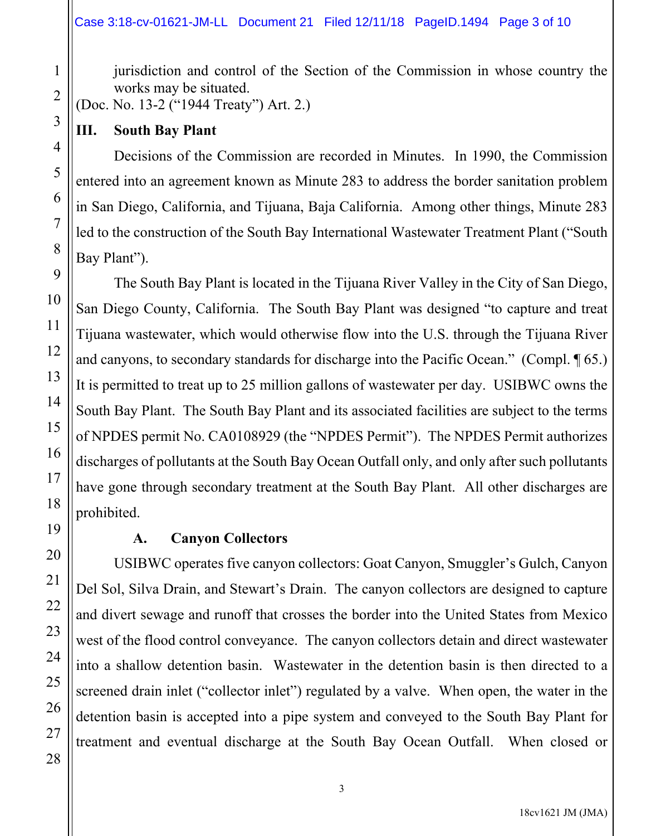jurisdiction and control of the Section of the Commission in whose country the works may be situated.

(Doc. No. 13-2 ("1944 Treaty") Art. 2.)

### **III. South Bay Plant**

 Decisions of the Commission are recorded in Minutes. In 1990, the Commission entered into an agreement known as Minute 283 to address the border sanitation problem in San Diego, California, and Tijuana, Baja California. Among other things, Minute 283 led to the construction of the South Bay International Wastewater Treatment Plant ("South Bay Plant").

 The South Bay Plant is located in the Tijuana River Valley in the City of San Diego, San Diego County, California. The South Bay Plant was designed "to capture and treat Tijuana wastewater, which would otherwise flow into the U.S. through the Tijuana River and canyons, to secondary standards for discharge into the Pacific Ocean." (Compl. ¶ 65.) It is permitted to treat up to 25 million gallons of wastewater per day. USIBWC owns the South Bay Plant. The South Bay Plant and its associated facilities are subject to the terms of NPDES permit No. CA0108929 (the "NPDES Permit"). The NPDES Permit authorizes discharges of pollutants at the South Bay Ocean Outfall only, and only after such pollutants have gone through secondary treatment at the South Bay Plant. All other discharges are prohibited.

## **A. Canyon Collectors**

 USIBWC operates five canyon collectors: Goat Canyon, Smuggler's Gulch, Canyon Del Sol, Silva Drain, and Stewart's Drain. The canyon collectors are designed to capture and divert sewage and runoff that crosses the border into the United States from Mexico west of the flood control conveyance. The canyon collectors detain and direct wastewater into a shallow detention basin. Wastewater in the detention basin is then directed to a screened drain inlet ("collector inlet") regulated by a valve. When open, the water in the detention basin is accepted into a pipe system and conveyed to the South Bay Plant for treatment and eventual discharge at the South Bay Ocean Outfall. When closed or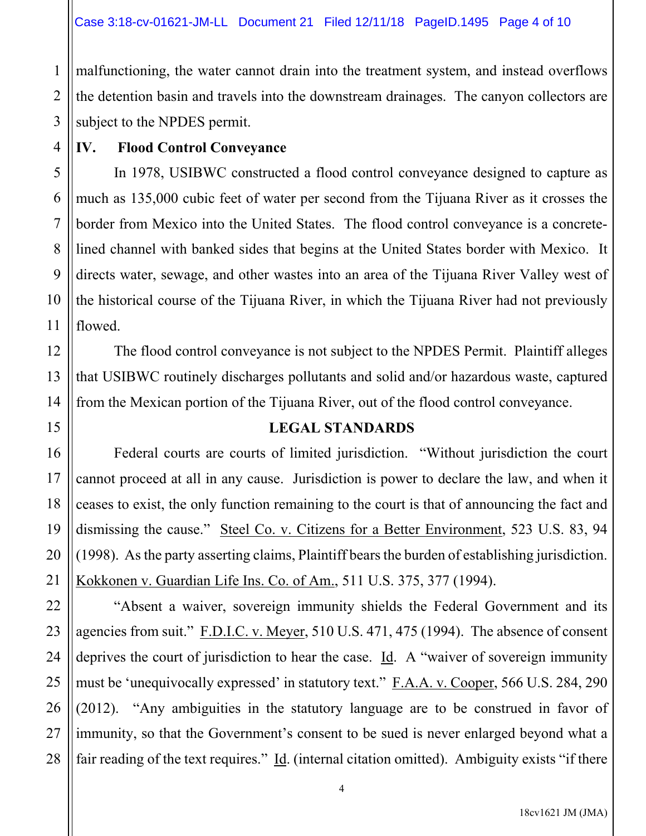malfunctioning, the water cannot drain into the treatment system, and instead overflows the detention basin and travels into the downstream drainages. The canyon collectors are subject to the NPDES permit.

**IV. Flood Control Conveyance** 

 In 1978, USIBWC constructed a flood control conveyance designed to capture as much as 135,000 cubic feet of water per second from the Tijuana River as it crosses the border from Mexico into the United States. The flood control conveyance is a concretelined channel with banked sides that begins at the United States border with Mexico. It directs water, sewage, and other wastes into an area of the Tijuana River Valley west of the historical course of the Tijuana River, in which the Tijuana River had not previously flowed.

 The flood control conveyance is not subject to the NPDES Permit. Plaintiff alleges that USIBWC routinely discharges pollutants and solid and/or hazardous waste, captured from the Mexican portion of the Tijuana River, out of the flood control conveyance.

## **LEGAL STANDARDS**

Federal courts are courts of limited jurisdiction. "Without jurisdiction the court cannot proceed at all in any cause. Jurisdiction is power to declare the law, and when it ceases to exist, the only function remaining to the court is that of announcing the fact and dismissing the cause." Steel Co. v. Citizens for a Better Environment, 523 U.S. 83, 94 (1998). As the party asserting claims, Plaintiff bears the burden of establishing jurisdiction. Kokkonen v. Guardian Life Ins. Co. of Am., 511 U.S. 375, 377 (1994).

 "Absent a waiver, sovereign immunity shields the Federal Government and its agencies from suit." F.D.I.C. v. Meyer, 510 U.S. 471, 475 (1994). The absence of consent deprives the court of jurisdiction to hear the case. Id. A "waiver of sovereign immunity must be 'unequivocally expressed' in statutory text." F.A.A. v. Cooper, 566 U.S. 284, 290 (2012). "Any ambiguities in the statutory language are to be construed in favor of immunity, so that the Government's consent to be sued is never enlarged beyond what a fair reading of the text requires." Id. (internal citation omitted). Ambiguity exists "if there

1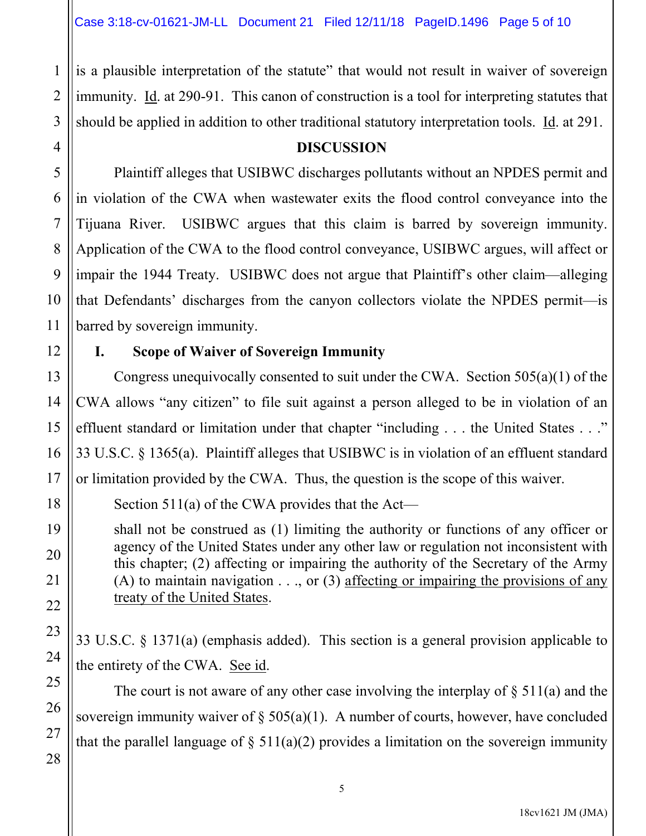is a plausible interpretation of the statute" that would not result in waiver of sovereign immunity. Id. at 290-91. This canon of construction is a tool for interpreting statutes that should be applied in addition to other traditional statutory interpretation tools. Id. at 291.

#### **DISCUSSION**

 Plaintiff alleges that USIBWC discharges pollutants without an NPDES permit and in violation of the CWA when wastewater exits the flood control conveyance into the Tijuana River. USIBWC argues that this claim is barred by sovereign immunity. Application of the CWA to the flood control conveyance, USIBWC argues, will affect or impair the 1944 Treaty. USIBWC does not argue that Plaintiff's other claim—alleging that Defendants' discharges from the canyon collectors violate the NPDES permit—is barred by sovereign immunity.

### **I. Scope of Waiver of Sovereign Immunity**

 Congress unequivocally consented to suit under the CWA. Section 505(a)(1) of the CWA allows "any citizen" to file suit against a person alleged to be in violation of an effluent standard or limitation under that chapter "including . . . the United States . . ." 33 U.S.C. § 1365(a). Plaintiff alleges that USIBWC is in violation of an effluent standard or limitation provided by the CWA. Thus, the question is the scope of this waiver.

Section 511(a) of the CWA provides that the Act—

shall not be construed as (1) limiting the authority or functions of any officer or agency of the United States under any other law or regulation not inconsistent with this chapter; (2) affecting or impairing the authority of the Secretary of the Army (A) to maintain navigation  $\dots$ , or (3) affecting or impairing the provisions of any treaty of the United States.

33 U.S.C. § 1371(a) (emphasis added). This section is a general provision applicable to the entirety of the CWA. See id.

The court is not aware of any other case involving the interplay of  $\S$  511(a) and the sovereign immunity waiver of  $\S 505(a)(1)$ . A number of courts, however, have concluded that the parallel language of  $\S$  511(a)(2) provides a limitation on the sovereign immunity

1

2

3

4

5

6

7

8

9

10

11

12

13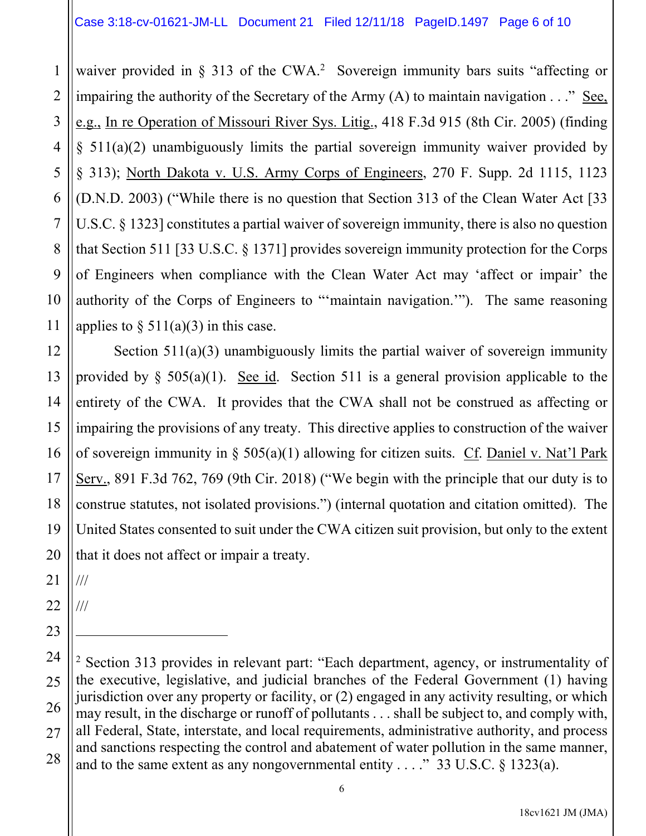waiver provided in  $\S$  313 of the CWA.<sup>2</sup> Sovereign immunity bars suits "affecting or impairing the authority of the Secretary of the Army (A) to maintain navigation . . ." See, e.g., In re Operation of Missouri River Sys. Litig., 418 F.3d 915 (8th Cir. 2005) (finding § 511(a)(2) unambiguously limits the partial sovereign immunity waiver provided by § 313); North Dakota v. U.S. Army Corps of Engineers, 270 F. Supp. 2d 1115, 1123 (D.N.D. 2003) ("While there is no question that Section 313 of the Clean Water Act [33 U.S.C. § 1323] constitutes a partial waiver of sovereign immunity, there is also no question that Section 511 [33 U.S.C. § 1371] provides sovereign immunity protection for the Corps of Engineers when compliance with the Clean Water Act may 'affect or impair' the authority of the Corps of Engineers to "'maintain navigation.'"). The same reasoning applies to  $\S$  511(a)(3) in this case.

12 13 14 15 16 17 18 19 20 Section 511(a)(3) unambiguously limits the partial waiver of sovereign immunity provided by  $\S$  505(a)(1). See id. Section 511 is a general provision applicable to the entirety of the CWA. It provides that the CWA shall not be construed as affecting or impairing the provisions of any treaty. This directive applies to construction of the waiver of sovereign immunity in § 505(a)(1) allowing for citizen suits. Cf. Daniel v. Nat'l Park Serv., 891 F.3d 762, 769 (9th Cir. 2018) ("We begin with the principle that our duty is to construe statutes, not isolated provisions.") (internal quotation and citation omitted). The United States consented to suit under the CWA citizen suit provision, but only to the extent that it does not affect or impair a treaty.

21 ///

1

2

3

4

5

6

7

8

9

10

11

22 ///

<sup>24</sup> 25 26 27 28 <sup>2</sup> Section 313 provides in relevant part: "Each department, agency, or instrumentality of the executive, legislative, and judicial branches of the Federal Government (1) having jurisdiction over any property or facility, or (2) engaged in any activity resulting, or which may result, in the discharge or runoff of pollutants . . . shall be subject to, and comply with, all Federal, State, interstate, and local requirements, administrative authority, and process and sanctions respecting the control and abatement of water pollution in the same manner, and to the same extent as any nongovernmental entity . . . ." 33 U.S.C.  $\S$  1323(a).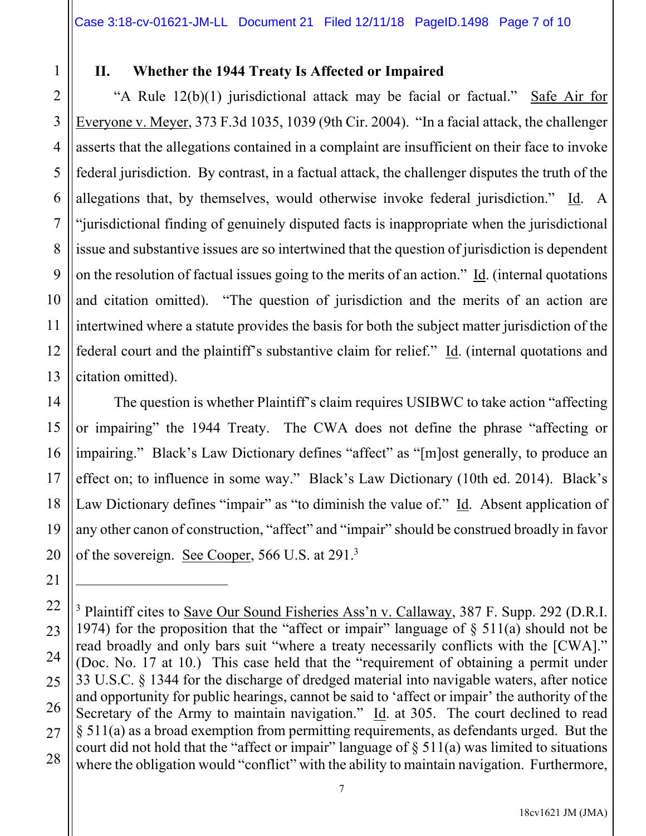## 1 2

3

4

5

6

7

8

9

11

12

21

22

23

24

25

26

27

28

# **II. Whether the 1944 Treaty Is Affected or Impaired**

10 13 "A Rule 12(b)(1) jurisdictional attack may be facial or factual." Safe Air for Everyone v. Meyer, 373 F.3d 1035, 1039 (9th Cir. 2004). "In a facial attack, the challenger asserts that the allegations contained in a complaint are insufficient on their face to invoke federal jurisdiction. By contrast, in a factual attack, the challenger disputes the truth of the allegations that, by themselves, would otherwise invoke federal jurisdiction." Id. A "jurisdictional finding of genuinely disputed facts is inappropriate when the jurisdictional issue and substantive issues are so intertwined that the question of jurisdiction is dependent on the resolution of factual issues going to the merits of an action." Id. (internal quotations and citation omitted). "The question of jurisdiction and the merits of an action are intertwined where a statute provides the basis for both the subject matter jurisdiction of the federal court and the plaintiff's substantive claim for relief." Id. (internal quotations and citation omitted).

14 15 16 17 18 19 20 The question is whether Plaintiff's claim requires USIBWC to take action "affecting or impairing" the 1944 Treaty. The CWA does not define the phrase "affecting or impairing." Black's Law Dictionary defines "affect" as "[m]ost generally, to produce an effect on; to influence in some way." Black's Law Dictionary (10th ed. 2014). Black's Law Dictionary defines "impair" as "to diminish the value of." Id. Absent application of any other canon of construction, "affect" and "impair" should be construed broadly in favor of the sovereign. See Cooper, 566 U.S. at 291.<sup>3</sup>

<sup>&</sup>lt;sup>3</sup> Plaintiff cites to Save Our Sound Fisheries Ass'n v. Callaway, 387 F. Supp. 292 (D.R.I. 1974) for the proposition that the "affect or impair" language of  $\S$  511(a) should not be read broadly and only bars suit "where a treaty necessarily conflicts with the [CWA]." (Doc. No. 17 at 10.) This case held that the "requirement of obtaining a permit under 33 U.S.C. § 1344 for the discharge of dredged material into navigable waters, after notice and opportunity for public hearings, cannot be said to 'affect or impair' the authority of the Secretary of the Army to maintain navigation."  $\underline{Id}$ . at 305. The court declined to read § 511(a) as a broad exemption from permitting requirements, as defendants urged. But the court did not hold that the "affect or impair" language of  $\S$  511(a) was limited to situations where the obligation would "conflict" with the ability to maintain navigation. Furthermore,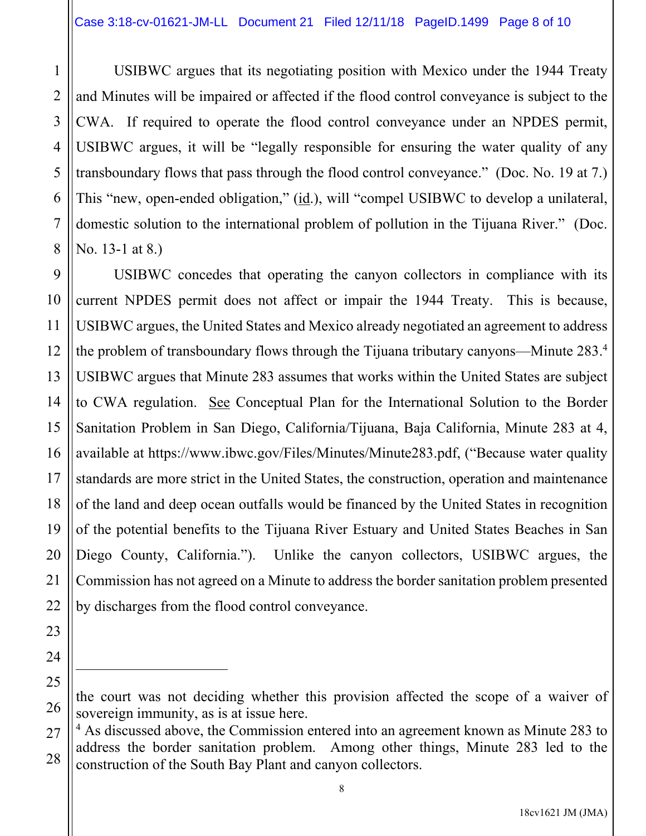1

2

3

4

5

6

7

8

23

24

25

26

 USIBWC argues that its negotiating position with Mexico under the 1944 Treaty and Minutes will be impaired or affected if the flood control conveyance is subject to the CWA. If required to operate the flood control conveyance under an NPDES permit, USIBWC argues, it will be "legally responsible for ensuring the water quality of any transboundary flows that pass through the flood control conveyance." (Doc. No. 19 at 7.) This "new, open-ended obligation," (id.), will "compel USIBWC to develop a unilateral, domestic solution to the international problem of pollution in the Tijuana River." (Doc. No. 13-1 at 8.)

9 10 11 12 13 14 15 16 17 18 19 20 21 22 USIBWC concedes that operating the canyon collectors in compliance with its current NPDES permit does not affect or impair the 1944 Treaty. This is because, USIBWC argues, the United States and Mexico already negotiated an agreement to address the problem of transboundary flows through the Tijuana tributary canyons—Minute 283.<sup>4</sup> USIBWC argues that Minute 283 assumes that works within the United States are subject to CWA regulation. See Conceptual Plan for the International Solution to the Border Sanitation Problem in San Diego, California/Tijuana, Baja California, Minute 283 at 4, available at https://www.ibwc.gov/Files/Minutes/Minute283.pdf, ("Because water quality standards are more strict in the United States, the construction, operation and maintenance of the land and deep ocean outfalls would be financed by the United States in recognition of the potential benefits to the Tijuana River Estuary and United States Beaches in San Diego County, California."). Unlike the canyon collectors, USIBWC argues, the Commission has not agreed on a Minute to address the border sanitation problem presented by discharges from the flood control conveyance.

the court was not deciding whether this provision affected the scope of a waiver of sovereign immunity, as is at issue here.

<sup>27</sup> 28 <sup>4</sup> As discussed above, the Commission entered into an agreement known as Minute 283 to address the border sanitation problem. Among other things, Minute 283 led to the construction of the South Bay Plant and canyon collectors.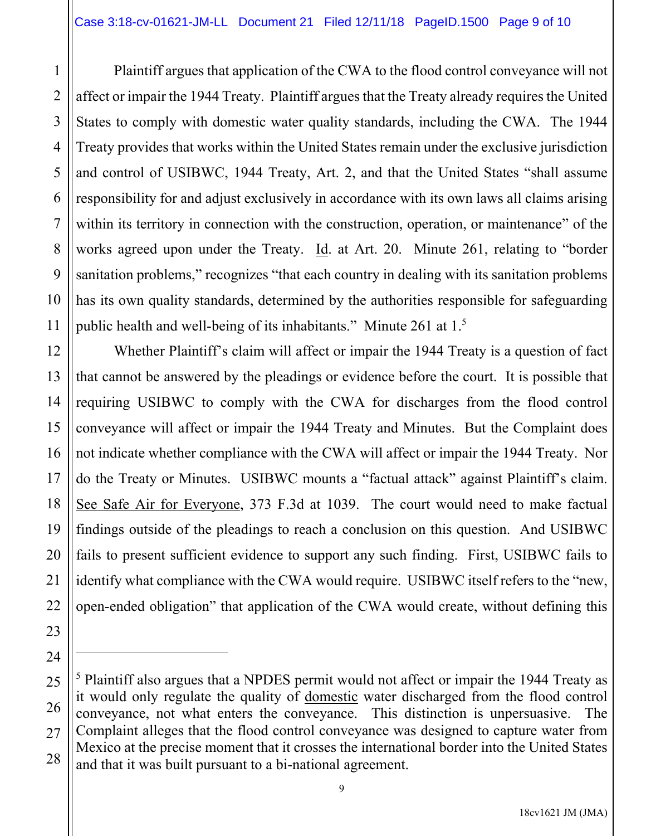1

2

3

5

7

8

9

11

23

24

4 6 10 Plaintiff argues that application of the CWA to the flood control conveyance will not affect or impair the 1944 Treaty. Plaintiff argues that the Treaty already requires the United States to comply with domestic water quality standards, including the CWA. The 1944 Treaty provides that works within the United States remain under the exclusive jurisdiction and control of USIBWC, 1944 Treaty, Art. 2, and that the United States "shall assume responsibility for and adjust exclusively in accordance with its own laws all claims arising within its territory in connection with the construction, operation, or maintenance" of the works agreed upon under the Treaty. Id. at Art. 20. Minute 261, relating to "border sanitation problems," recognizes "that each country in dealing with its sanitation problems has its own quality standards, determined by the authorities responsible for safeguarding public health and well-being of its inhabitants." Minute 261 at 1.5

12 13 14 15 16 17 18 19 20 21 22 Whether Plaintiff's claim will affect or impair the 1944 Treaty is a question of fact that cannot be answered by the pleadings or evidence before the court. It is possible that requiring USIBWC to comply with the CWA for discharges from the flood control conveyance will affect or impair the 1944 Treaty and Minutes. But the Complaint does not indicate whether compliance with the CWA will affect or impair the 1944 Treaty. Nor do the Treaty or Minutes. USIBWC mounts a "factual attack" against Plaintiff's claim. See Safe Air for Everyone, 373 F.3d at 1039. The court would need to make factual findings outside of the pleadings to reach a conclusion on this question. And USIBWC fails to present sufficient evidence to support any such finding. First, USIBWC fails to identify what compliance with the CWA would require. USIBWC itself refers to the "new, open-ended obligation" that application of the CWA would create, without defining this

<sup>25</sup> 26 27 28 <sup>5</sup> Plaintiff also argues that a NPDES permit would not affect or impair the 1944 Treaty as it would only regulate the quality of domestic water discharged from the flood control conveyance, not what enters the conveyance. This distinction is unpersuasive. The Complaint alleges that the flood control conveyance was designed to capture water from Mexico at the precise moment that it crosses the international border into the United States and that it was built pursuant to a bi-national agreement.